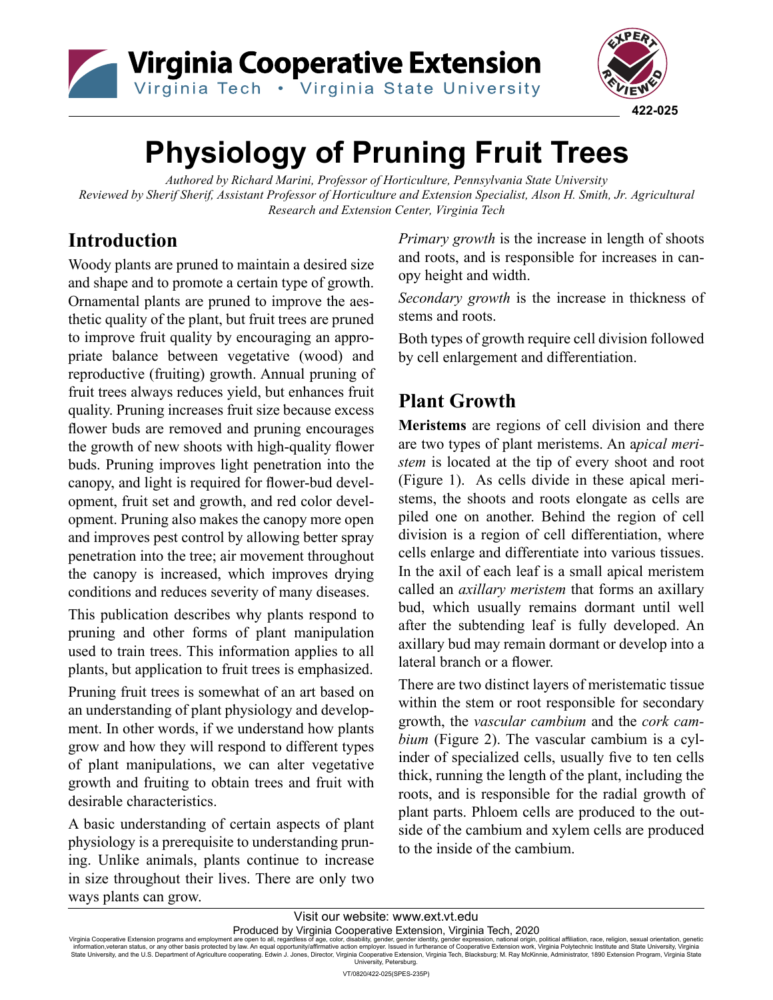



# **Physiology of Pruning Fruit Trees**

*Authored by Richard Marini, Professor of Horticulture, Pennsylvania State University Reviewed by Sherif Sherif, Assistant Professor of Horticulture and Extension Specialist, Alson H. Smith, Jr. Agricultural Research and Extension Center, Virginia Tech*

# **Introduction**

Woody plants are pruned to maintain a desired size and shape and to promote a certain type of growth. Ornamental plants are pruned to improve the aesthetic quality of the plant, but fruit trees are pruned to improve fruit quality by encouraging an appropriate balance between vegetative (wood) and reproductive (fruiting) growth. Annual pruning of fruit trees always reduces yield, but enhances fruit quality. Pruning increases fruit size because excess flower buds are removed and pruning encourages the growth of new shoots with high-quality flower buds. Pruning improves light penetration into the canopy, and light is required for flower-bud development, fruit set and growth, and red color development. Pruning also makes the canopy more open and improves pest control by allowing better spray penetration into the tree; air movement throughout the canopy is increased, which improves drying conditions and reduces severity of many diseases.

This publication describes why plants respond to pruning and other forms of plant manipulation used to train trees. This information applies to all plants, but application to fruit trees is emphasized.

Pruning fruit trees is somewhat of an art based on an understanding of plant physiology and development. In other words, if we understand how plants grow and how they will respond to different types of plant manipulations, we can alter vegetative growth and fruiting to obtain trees and fruit with desirable characteristics.

A basic understanding of certain aspects of plant physiology is a prerequisite to understanding pruning. Unlike animals, plants continue to increase in size throughout their lives. There are only two ways plants can grow.

*Primary growth* is the increase in length of shoots and roots, and is responsible for increases in canopy height and width.

*Secondary growth* is the increase in thickness of stems and roots.

Both types of growth require cell division followed by cell enlargement and differentiation.

# **Plant Growth**

**Meristems** are regions of cell division and there are two types of plant meristems. An a*pical meristem* is located at the tip of every shoot and root (Figure 1). As cells divide in these apical meristems, the shoots and roots elongate as cells are piled one on another. Behind the region of cell division is a region of cell differentiation, where cells enlarge and differentiate into various tissues. In the axil of each leaf is a small apical meristem called an *axillary meristem* that forms an axillary bud, which usually remains dormant until well after the subtending leaf is fully developed. An axillary bud may remain dormant or develop into a lateral branch or a flower.

There are two distinct layers of meristematic tissue within the stem or root responsible for secondary growth, the *vascular cambium* and the *cork cambium* (Figure 2). The vascular cambium is a cylinder of specialized cells, usually five to ten cells thick, running the length of the plant, including the roots, and is responsible for the radial growth of plant parts. Phloem cells are produced to the outside of the cambium and xylem cells are produced to the inside of the cambium.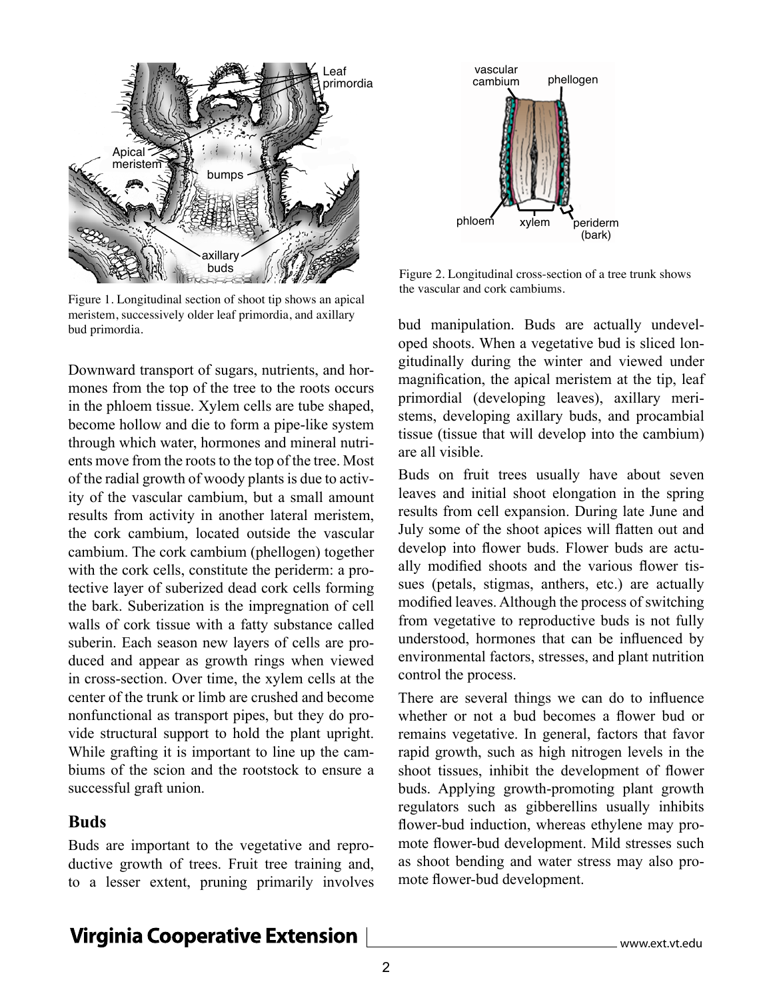

Figure 1. Longitudinal section of shoot tip shows an apical meristem, successively older leaf primordia, and axillary bud primordia.

Downward transport of sugars, nutrients, and hormones from the top of the tree to the roots occurs in the phloem tissue. Xylem cells are tube shaped, become hollow and die to form a pipe-like system through which water, hormones and mineral nutrients move from the roots to the top of the tree. Most of the radial growth of woody plants is due to activity of the vascular cambium, but a small amount results from activity in another lateral meristem, the cork cambium, located outside the vascular cambium. The cork cambium (phellogen) together with the cork cells, constitute the periderm: a protective layer of suberized dead cork cells forming the bark. Suberization is the impregnation of cell walls of cork tissue with a fatty substance called suberin. Each season new layers of cells are produced and appear as growth rings when viewed in cross-section. Over time, the xylem cells at the center of the trunk or limb are crushed and become nonfunctional as transport pipes, but they do provide structural support to hold the plant upright. While grafting it is important to line up the cambiums of the scion and the rootstock to ensure a successful graft union.

### **Buds**

Buds are important to the vegetative and reproductive growth of trees. Fruit tree training and, to a lesser extent, pruning primarily involves



Figure 2. Longitudinal cross-section of a tree trunk shows the vascular and cork cambiums.

bud manipulation. Buds are actually undeveloped shoots. When a vegetative bud is sliced longitudinally during the winter and viewed under magnification, the apical meristem at the tip, leaf primordial (developing leaves), axillary meristems, developing axillary buds, and procambial tissue (tissue that will develop into the cambium) are all visible.

Buds on fruit trees usually have about seven leaves and initial shoot elongation in the spring results from cell expansion. During late June and July some of the shoot apices will flatten out and develop into flower buds. Flower buds are actually modified shoots and the various flower tissues (petals, stigmas, anthers, etc.) are actually modified leaves. Although the process of switching from vegetative to reproductive buds is not fully understood, hormones that can be influenced by environmental factors, stresses, and plant nutrition control the process.

There are several things we can do to influence whether or not a bud becomes a flower bud or remains vegetative. In general, factors that favor rapid growth, such as high nitrogen levels in the shoot tissues, inhibit the development of flower buds. Applying growth-promoting plant growth regulators such as gibberellins usually inhibits flower-bud induction, whereas ethylene may promote flower-bud development. Mild stresses such as shoot bending and water stress may also promote flower-bud development.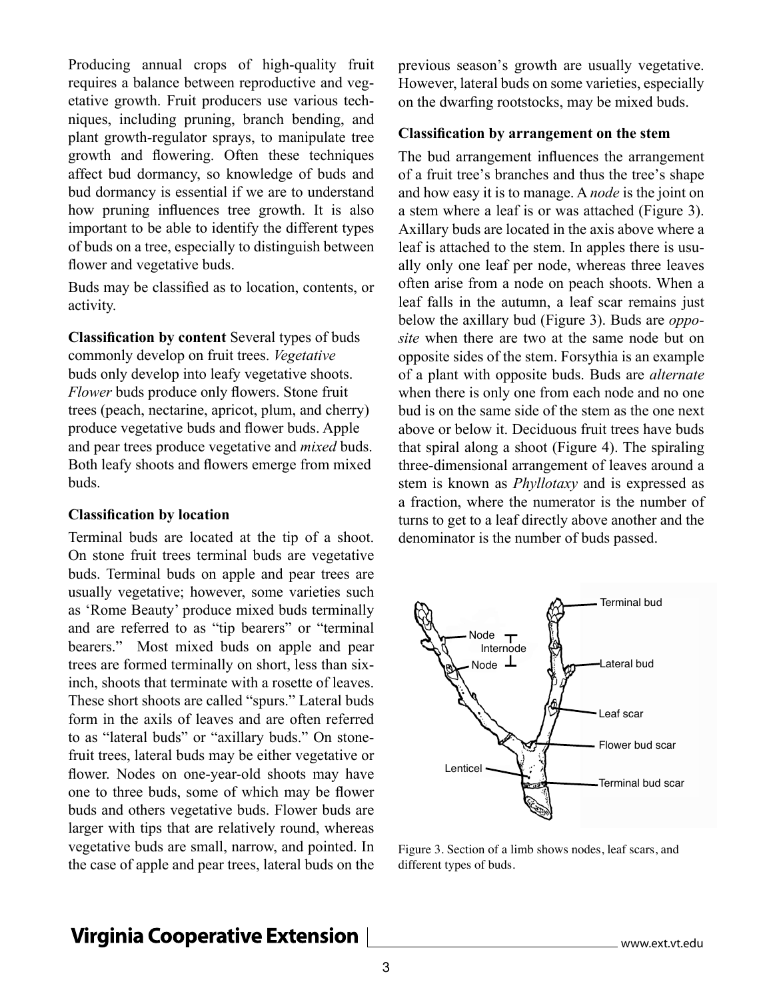Producing annual crops of high-quality fruit requires a balance between reproductive and vegetative growth. Fruit producers use various techniques, including pruning, branch bending, and plant growth-regulator sprays, to manipulate tree growth and flowering. Often these techniques affect bud dormancy, so knowledge of buds and bud dormancy is essential if we are to understand how pruning influences tree growth. It is also important to be able to identify the different types of buds on a tree, especially to distinguish between flower and vegetative buds.

Buds may be classified as to location, contents, or activity.

**Classification by content** Several types of buds commonly develop on fruit trees. *Vegetative* buds only develop into leafy vegetative shoots. *Flower* buds produce only flowers. Stone fruit trees (peach, nectarine, apricot, plum, and cherry) produce vegetative buds and flower buds. Apple and pear trees produce vegetative and *mixed* buds. Both leafy shoots and flowers emerge from mixed buds.

#### **Classification by location**

Terminal buds are located at the tip of a shoot. On stone fruit trees terminal buds are vegetative buds. Terminal buds on apple and pear trees are usually vegetative; however, some varieties such as 'Rome Beauty' produce mixed buds terminally and are referred to as "tip bearers" or "terminal bearers." Most mixed buds on apple and pear trees are formed terminally on short, less than sixinch, shoots that terminate with a rosette of leaves. These short shoots are called "spurs." Lateral buds form in the axils of leaves and are often referred to as "lateral buds" or "axillary buds." On stonefruit trees, lateral buds may be either vegetative or flower. Nodes on one-year-old shoots may have one to three buds, some of which may be flower buds and others vegetative buds. Flower buds are larger with tips that are relatively round, whereas vegetative buds are small, narrow, and pointed. In the case of apple and pear trees, lateral buds on the

previous season's growth are usually vegetative. However, lateral buds on some varieties, especially on the dwarfing rootstocks, may be mixed buds.

#### **Classification by arrangement on the stem**

The bud arrangement influences the arrangement of a fruit tree's branches and thus the tree's shape and how easy it is to manage. A *node* is the joint on a stem where a leaf is or was attached (Figure 3). Axillary buds are located in the axis above where a leaf is attached to the stem. In apples there is usually only one leaf per node, whereas three leaves often arise from a node on peach shoots. When a leaf falls in the autumn, a leaf scar remains just below the axillary bud (Figure 3). Buds are *opposite* when there are two at the same node but on opposite sides of the stem. Forsythia is an example of a plant with opposite buds. Buds are *alternate* when there is only one from each node and no one bud is on the same side of the stem as the one next above or below it. Deciduous fruit trees have buds that spiral along a shoot (Figure 4). The spiraling three-dimensional arrangement of leaves around a stem is known as *Phyllotaxy* and is expressed as a fraction, where the numerator is the number of turns to get to a leaf directly above another and the denominator is the number of buds passed.



Figure 3. Section of a limb shows nodes, leaf scars, and different types of buds.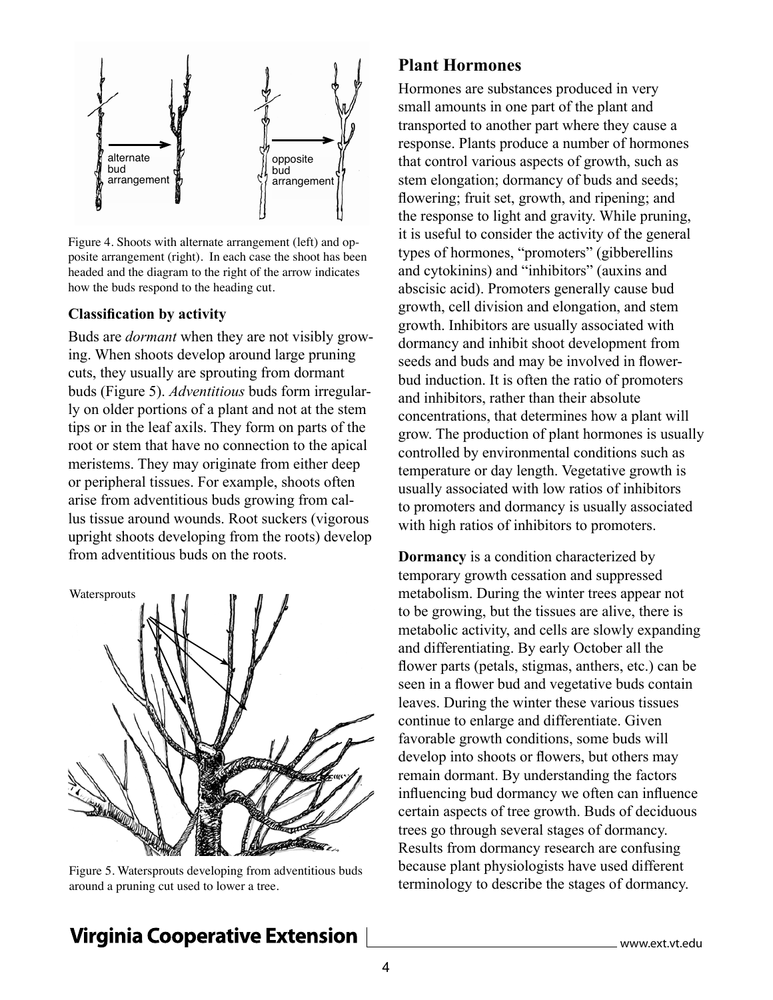

Figure 4. Shoots with alternate arrangement (left) and opposite arrangement (right). In each case the shoot has been headed and the diagram to the right of the arrow indicates how the buds respond to the heading cut.

#### **Classification by activity**

Buds are *dormant* when they are not visibly growing. When shoots develop around large pruning cuts, they usually are sprouting from dormant buds (Figure 5). *Adventitious* buds form irregularly on older portions of a plant and not at the stem tips or in the leaf axils. They form on parts of the root or stem that have no connection to the apical meristems. They may originate from either deep or peripheral tissues. For example, shoots often arise from adventitious buds growing from callus tissue around wounds. Root suckers (vigorous upright shoots developing from the roots) develop from adventitious buds on the roots.



Figure 5. Watersprouts developing from adventitious buds around a pruning cut used to lower a tree.

### **Plant Hormones**

Hormones are substances produced in very small amounts in one part of the plant and transported to another part where they cause a response. Plants produce a number of hormones that control various aspects of growth, such as stem elongation; dormancy of buds and seeds; flowering; fruit set, growth, and ripening; and the response to light and gravity. While pruning, it is useful to consider the activity of the general types of hormones, "promoters" (gibberellins and cytokinins) and "inhibitors" (auxins and abscisic acid). Promoters generally cause bud growth, cell division and elongation, and stem growth. Inhibitors are usually associated with dormancy and inhibit shoot development from seeds and buds and may be involved in flowerbud induction. It is often the ratio of promoters and inhibitors, rather than their absolute concentrations, that determines how a plant will grow. The production of plant hormones is usually controlled by environmental conditions such as temperature or day length. Vegetative growth is usually associated with low ratios of inhibitors to promoters and dormancy is usually associated with high ratios of inhibitors to promoters.

**Dormancy** is a condition characterized by temporary growth cessation and suppressed metabolism. During the winter trees appear not to be growing, but the tissues are alive, there is metabolic activity, and cells are slowly expanding and differentiating. By early October all the flower parts (petals, stigmas, anthers, etc.) can be seen in a flower bud and vegetative buds contain leaves. During the winter these various tissues continue to enlarge and differentiate. Given favorable growth conditions, some buds will develop into shoots or flowers, but others may remain dormant. By understanding the factors influencing bud dormancy we often can influence certain aspects of tree growth. Buds of deciduous trees go through several stages of dormancy. Results from dormancy research are confusing because plant physiologists have used different terminology to describe the stages of dormancy.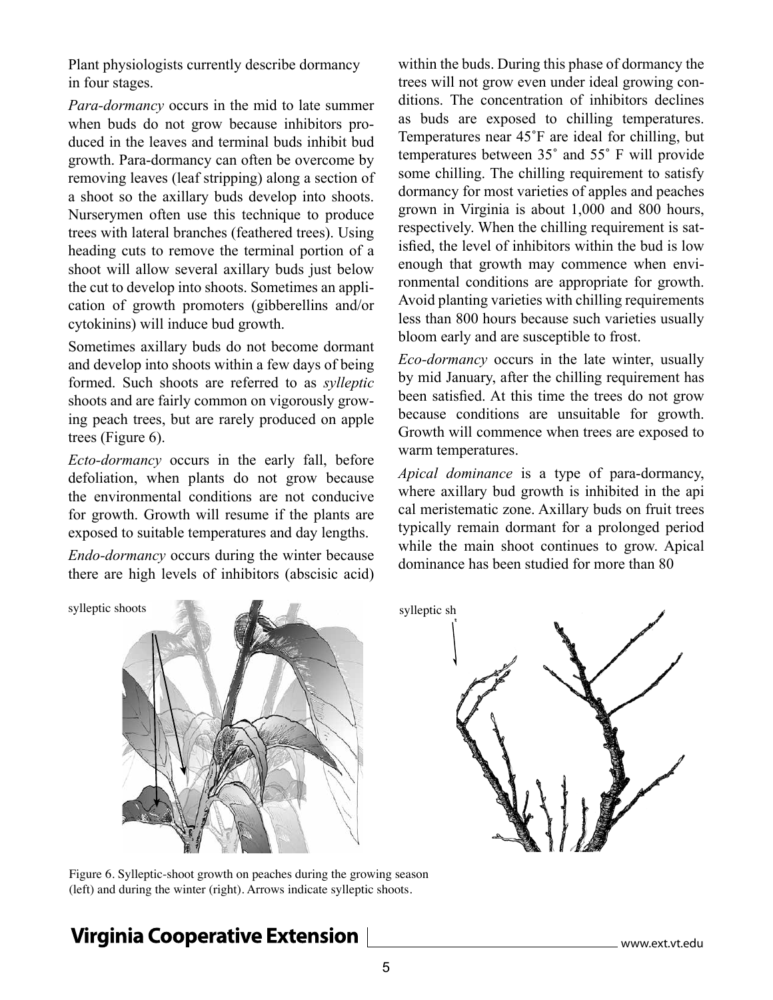Plant physiologists currently describe dormancy in four stages.

*Para-dormancy* occurs in the mid to late summer when buds do not grow because inhibitors produced in the leaves and terminal buds inhibit bud growth. Para-dormancy can often be overcome by removing leaves (leaf stripping) along a section of a shoot so the axillary buds develop into shoots. Nurserymen often use this technique to produce trees with lateral branches (feathered trees). Using heading cuts to remove the terminal portion of a shoot will allow several axillary buds just below the cut to develop into shoots. Sometimes an application of growth promoters (gibberellins and/or cytokinins) will induce bud growth.

Sometimes axillary buds do not become dormant and develop into shoots within a few days of being formed. Such shoots are referred to as *sylleptic* shoots and are fairly common on vigorously growing peach trees, but are rarely produced on apple trees (Figure 6).

*Ecto-dormancy* occurs in the early fall, before defoliation, when plants do not grow because the environmental conditions are not conducive for growth. Growth will resume if the plants are exposed to suitable temperatures and day lengths.

*Endo-dormancy* occurs during the winter because there are high levels of inhibitors (abscisic acid)

within the buds. During this phase of dormancy the trees will not grow even under ideal growing conditions. The concentration of inhibitors declines as buds are exposed to chilling temperatures. Temperatures near 45˚F are ideal for chilling, but temperatures between 35˚ and 55˚ F will provide some chilling. The chilling requirement to satisfy dormancy for most varieties of apples and peaches grown in Virginia is about 1,000 and 800 hours, respectively. When the chilling requirement is satisfied, the level of inhibitors within the bud is low enough that growth may commence when environmental conditions are appropriate for growth. Avoid planting varieties with chilling requirements less than 800 hours because such varieties usually bloom early and are susceptible to frost.

*Eco-dormancy* occurs in the late winter, usually by mid January, after the chilling requirement has been satisfied. At this time the trees do not grow because conditions are unsuitable for growth. Growth will commence when trees are exposed to warm temperatures.

*Apical dominance* is a type of para-dormancy, where axillary bud growth is inhibited in the api cal meristematic zone. Axillary buds on fruit trees typically remain dormant for a prolonged period while the main shoot continues to grow. Apical dominance has been studied for more than 80



sylleptic sh

Figure 6. Sylleptic-shoot growth on peaches during the growing season (left) and during the winter (right). Arrows indicate sylleptic shoots.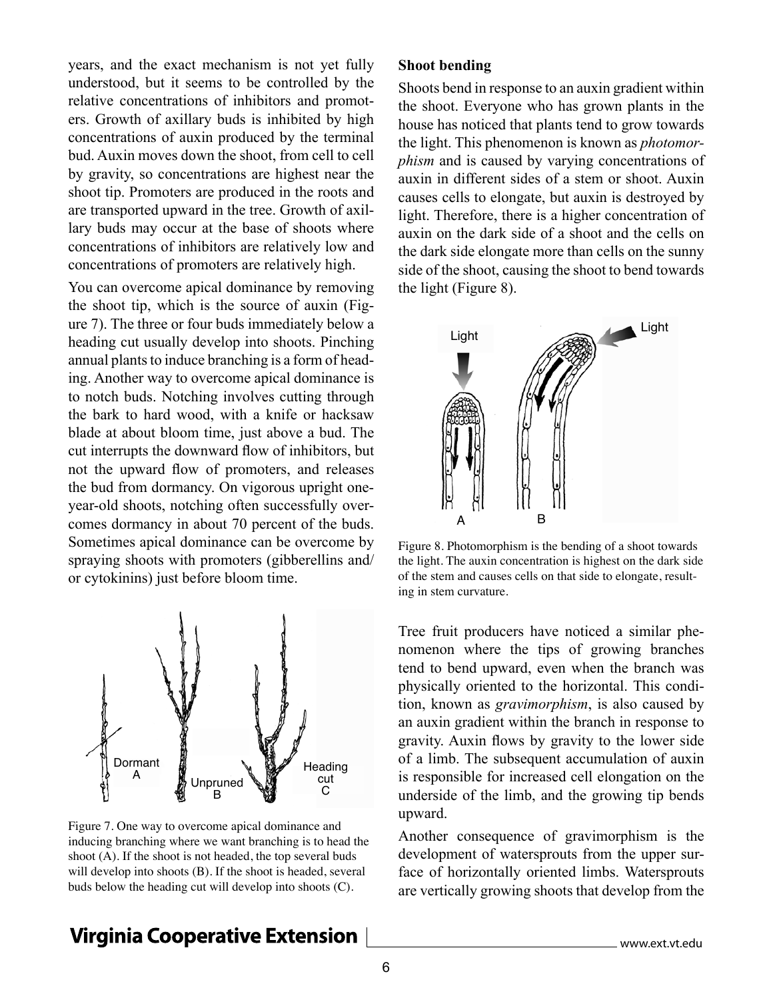years, and the exact mechanism is not yet fully understood, but it seems to be controlled by the relative concentrations of inhibitors and promoters. Growth of axillary buds is inhibited by high concentrations of auxin produced by the terminal bud. Auxin moves down the shoot, from cell to cell by gravity, so concentrations are highest near the shoot tip. Promoters are produced in the roots and are transported upward in the tree. Growth of axillary buds may occur at the base of shoots where concentrations of inhibitors are relatively low and concentrations of promoters are relatively high.

You can overcome apical dominance by removing the shoot tip, which is the source of auxin (Figure 7). The three or four buds immediately below a heading cut usually develop into shoots. Pinching annual plants to induce branching is a form of heading. Another way to overcome apical dominance is to notch buds. Notching involves cutting through the bark to hard wood, with a knife or hacksaw blade at about bloom time, just above a bud. The cut interrupts the downward flow of inhibitors, but not the upward flow of promoters, and releases the bud from dormancy. On vigorous upright oneyear-old shoots, notching often successfully overcomes dormancy in about 70 percent of the buds. Sometimes apical dominance can be overcome by spraying shoots with promoters (gibberellins and/ or cytokinins) just before bloom time.



Figure 7. One way to overcome apical dominance and inducing branching where we want branching is to head the shoot (A). If the shoot is not headed, the top several buds will develop into shoots (B). If the shoot is headed, several buds below the heading cut will develop into shoots (C).

### **Shoot bending**

Shoots bend in response to an auxin gradient within the shoot. Everyone who has grown plants in the house has noticed that plants tend to grow towards the light. This phenomenon is known as *photomorphism* and is caused by varying concentrations of auxin in different sides of a stem or shoot. Auxin causes cells to elongate, but auxin is destroyed by light. Therefore, there is a higher concentration of auxin on the dark side of a shoot and the cells on the dark side elongate more than cells on the sunny side of the shoot, causing the shoot to bend towards the light (Figure 8).



Figure 8. Photomorphism is the bending of a shoot towards the light. The auxin concentration is highest on the dark side of the stem and causes cells on that side to elongate, resulting in stem curvature.

Tree fruit producers have noticed a similar phenomenon where the tips of growing branches tend to bend upward, even when the branch was physically oriented to the horizontal. This condition, known as *gravimorphism*, is also caused by an auxin gradient within the branch in response to gravity. Auxin flows by gravity to the lower side of a limb. The subsequent accumulation of auxin is responsible for increased cell elongation on the underside of the limb, and the growing tip bends upward.

Another consequence of gravimorphism is the development of watersprouts from the upper surface of horizontally oriented limbs. Watersprouts are vertically growing shoots that develop from the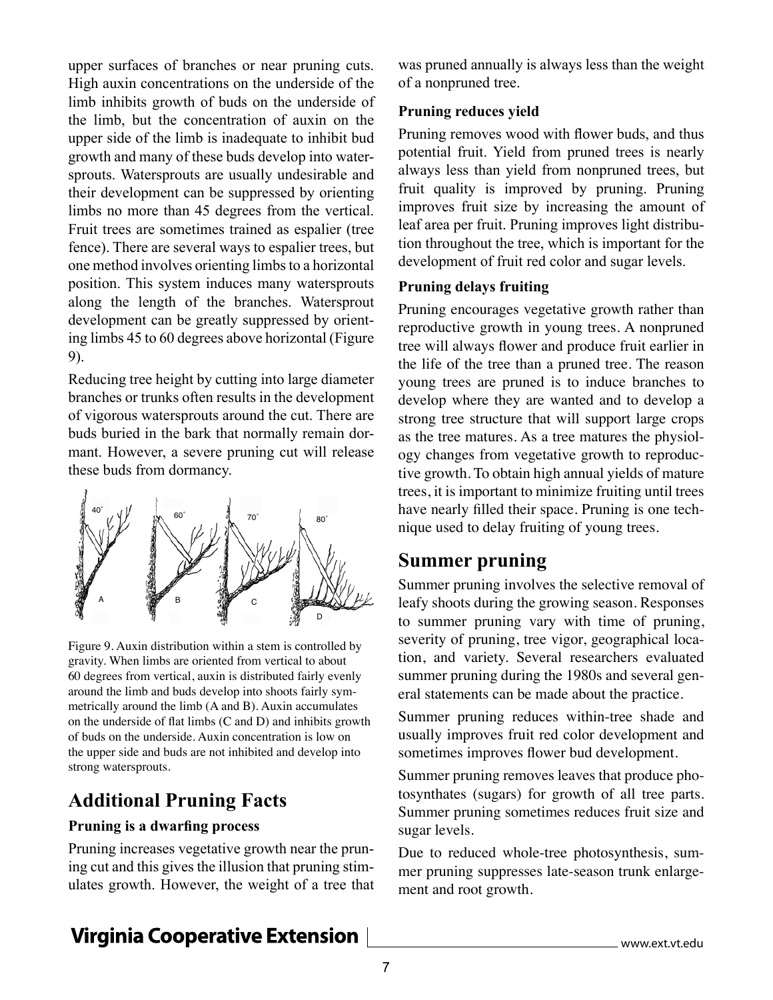upper surfaces of branches or near pruning cuts. High auxin concentrations on the underside of the limb inhibits growth of buds on the underside of the limb, but the concentration of auxin on the upper side of the limb is inadequate to inhibit bud growth and many of these buds develop into watersprouts. Watersprouts are usually undesirable and their development can be suppressed by orienting limbs no more than 45 degrees from the vertical. Fruit trees are sometimes trained as espalier (tree fence). There are several ways to espalier trees, but one method involves orienting limbs to a horizontal position. This system induces many watersprouts along the length of the branches. Watersprout development can be greatly suppressed by orienting limbs 45 to 60 degrees above horizontal (Figure 9).

Reducing tree height by cutting into large diameter branches or trunks often results in the development of vigorous watersprouts around the cut. There are buds buried in the bark that normally remain dormant. However, a severe pruning cut will release these buds from dormancy.



Figure 9. Auxin distribution within a stem is controlled by gravity. When limbs are oriented from vertical to about 60 degrees from vertical, auxin is distributed fairly evenly around the limb and buds develop into shoots fairly symmetrically around the limb (A and B). Auxin accumulates on the underside of flat limbs (C and D) and inhibits growth of buds on the underside. Auxin concentration is low on the upper side and buds are not inhibited and develop into strong watersprouts.

# **Additional Pruning Facts**

### **Pruning is a dwarfing process**

Pruning increases vegetative growth near the pruning cut and this gives the illusion that pruning stimulates growth. However, the weight of a tree that was pruned annually is always less than the weight of a nonpruned tree.

### **Pruning reduces yield**

Pruning removes wood with flower buds, and thus potential fruit. Yield from pruned trees is nearly always less than yield from nonpruned trees, but fruit quality is improved by pruning. Pruning improves fruit size by increasing the amount of leaf area per fruit. Pruning improves light distribution throughout the tree, which is important for the development of fruit red color and sugar levels.

### **Pruning delays fruiting**

Pruning encourages vegetative growth rather than reproductive growth in young trees. A nonpruned tree will always flower and produce fruit earlier in the life of the tree than a pruned tree. The reason young trees are pruned is to induce branches to develop where they are wanted and to develop a strong tree structure that will support large crops as the tree matures. As a tree matures the physiology changes from vegetative growth to reproductive growth. To obtain high annual yields of mature trees, it is important to minimize fruiting until trees have nearly filled their space. Pruning is one technique used to delay fruiting of young trees.

# **Summer pruning**

Summer pruning involves the selective removal of leafy shoots during the growing season. Responses to summer pruning vary with time of pruning, severity of pruning, tree vigor, geographical location, and variety. Several researchers evaluated summer pruning during the 1980s and several general statements can be made about the practice.

Summer pruning reduces within-tree shade and usually improves fruit red color development and sometimes improves flower bud development.

Summer pruning removes leaves that produce photosynthates (sugars) for growth of all tree parts. Summer pruning sometimes reduces fruit size and sugar levels.

Due to reduced whole-tree photosynthesis, summer pruning suppresses late-season trunk enlargement and root growth.